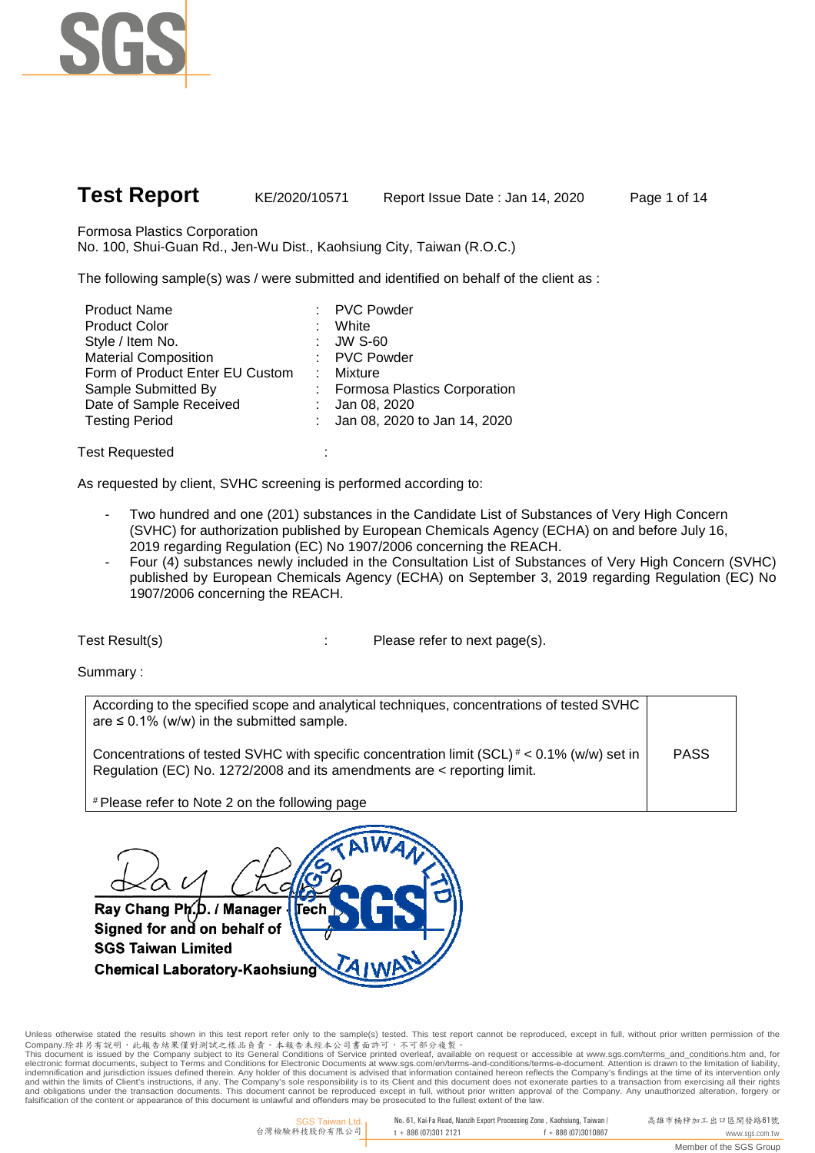

Formosa Plastics Corporation

No. 100, Shui-Guan Rd., Jen-Wu Dist., Kaohsiung City, Taiwan (R.O.C.)

The following sample(s) was / were submitted and identified on behalf of the client as :

| <b>Product Name</b>             | : PVC Powder                   |
|---------------------------------|--------------------------------|
| <b>Product Color</b>            | White                          |
| Style / Item No.                | : $JW S-60$                    |
| <b>Material Composition</b>     | : PVC Powder                   |
| Form of Product Enter EU Custom | Mixture                        |
| Sample Submitted By             | : Formosa Plastics Corporation |
| Date of Sample Received         | : $Jan 08, 2020$               |
| <b>Testing Period</b>           | : Jan 08, 2020 to Jan 14, 2020 |
|                                 |                                |

Test Requested :

As requested by client, SVHC screening is performed according to:

- Two hundred and one (201) substances in the Candidate List of Substances of Very High Concern (SVHC) for authorization published by European Chemicals Agency (ECHA) on and before July 16, 2019 regarding Regulation (EC) No 1907/2006 concerning the REACH.
- Four (4) substances newly included in the Consultation List of Substances of Very High Concern (SVHC) published by European Chemicals Agency (ECHA) on September 3, 2019 regarding Regulation (EC) No 1907/2006 concerning the REACH.

Test Result(s) Test Result(s)  $\qquad \qquad$ : Please refer to next page(s).

Summary :

| According to the specified scope and analytical techniques, concentrations of tested SVHC<br>are $\leq$ 0.1% (w/w) in the submitted sample.                               |             |
|---------------------------------------------------------------------------------------------------------------------------------------------------------------------------|-------------|
| Concentrations of tested SVHC with specific concentration limit (SCL) $* < 0.1\%$ (w/w) set in<br>Regulation (EC) No. 1272/2008 and its amendments are < reporting limit. | <b>PASS</b> |
| # Please refer to Note 2 on the following page                                                                                                                            |             |

Please refer to Note 2 on the following page

ά Ray Chang Ph.D. / Manager **Tech** Signed for and on behalf of **SGS Taiwan Limited Chemical Laboratory-Kaohsiung** 

Unless otherwise stated the results shown in this test report refer only to the sample(s) tested. This test report cannot be reproduced, except in full, without prior written permission of the<br>Company.除非另有說明,此報告結果僅對測試之樣品負 and within the limits of Client's instructions, if any. The Company's sole responsibility is to its Client and this document does not exonerate parties to a transaction from exercising all their rights<br>and obligations unde falsification of the content or appearance of this document is unlawful and offenders may be prosecuted to the fullest extent of the law.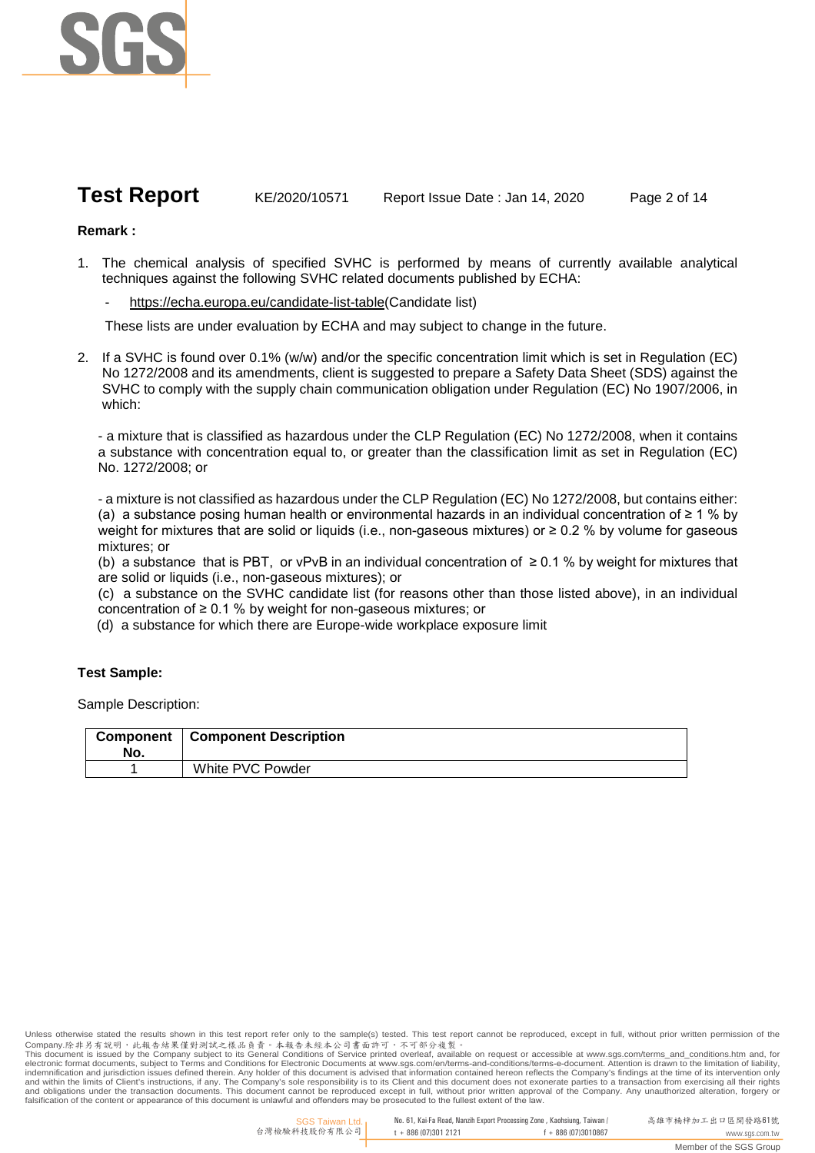

**Test Report** KE/2020/10571 Report Issue Date : Jan 14, 2020 Page 2 of 14

# **Remark :**

- 1. The chemical analysis of specified SVHC is performed by means of currently available analytical techniques against the following SVHC related documents published by ECHA:
	- https://echa.europa.eu/candidate-list-table(Candidate list)

These lists are under evaluation by ECHA and may subject to change in the future.

2. If a SVHC is found over 0.1% (w/w) and/or the specific concentration limit which is set in Regulation (EC) No 1272/2008 and its amendments, client is suggested to prepare a Safety Data Sheet (SDS) against the SVHC to comply with the supply chain communication obligation under Regulation (EC) No 1907/2006, in which:

- a mixture that is classified as hazardous under the CLP Regulation (EC) No 1272/2008, when it contains a substance with concentration equal to, or greater than the classification limit as set in Regulation (EC) No. 1272/2008; or

- a mixture is not classified as hazardous under the CLP Regulation (EC) No 1272/2008, but contains either: (a) a substance posing human health or environmental hazards in an individual concentration of ≥ 1 % by weight for mixtures that are solid or liquids (i.e., non-gaseous mixtures) or ≥ 0.2 % by volume for gaseous mixtures; or

(b) a substance that is PBT, or vPvB in an individual concentration of ≥ 0.1 % by weight for mixtures that are solid or liquids (i.e., non-gaseous mixtures); or

(c) a substance on the SVHC candidate list (for reasons other than those listed above), in an individual concentration of ≥ 0.1 % by weight for non-gaseous mixtures; or

(d) a substance for which there are Europe-wide workplace exposure limit

## **Test Sample:**

Sample Description:

| <b>Component</b> | <b>Component Description</b> |
|------------------|------------------------------|
| No.              |                              |
|                  | White PVC Powder             |

Unless otherwise stated the results shown in this test report refer only to the sample(s) tested. This test report cannot be reproduced, except in full, without prior written permission of the<br>Company.除非另有說明,此報告結果僅對測試之樣品負 and within the limits of Client's instructions, if any. The Company's sole responsibility is to its Client and this document does not exonerate parties to a transaction from exercising all their rights<br>and obligations unde falsification of the content or appearance of this document is unlawful and offenders may be prosecuted to the fullest extent of the law.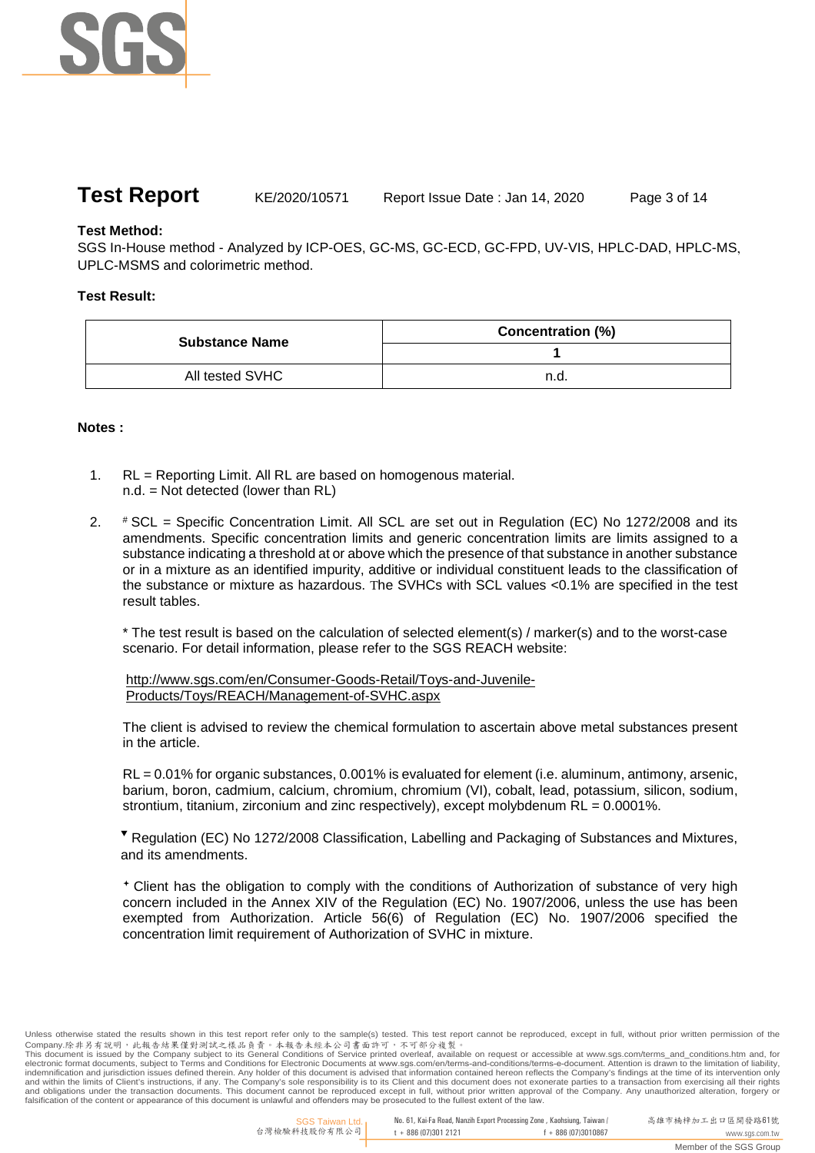

**Test Report** KE/2020/10571 Report Issue Date : Jan 14, 2020 Page 3 of 14

**Test Method:**

SGS In-House method - Analyzed by ICP-OES, GC-MS, GC-ECD, GC-FPD, UV-VIS, HPLC-DAD, HPLC-MS, UPLC-MSMS and colorimetric method.

# **Test Result:**

| <b>Substance Name</b> | <b>Concentration (%)</b> |
|-----------------------|--------------------------|
|                       |                          |
| All tested SVHC       | n.d.                     |

## **Notes :**

- 1. RL = Reporting Limit. All RL are based on homogenous material. n.d. = Not detected (lower than RL)
- 2. # SCL = Specific Concentration Limit. All SCL are set out in Regulation (EC) No 1272/2008 and its amendments. Specific concentration limits and generic concentration limits are limits assigned to a substance indicating a threshold at or above which the presence of that substance in another substance or in a mixture as an identified impurity, additive or individual constituent leads to the classification of the substance or mixture as hazardous. The SVHCs with SCL values <0.1% are specified in the test result tables.

\* The test result is based on the calculation of selected element(s) / marker(s) and to the worst-case scenario. For detail information, please refer to the SGS REACH website:

http://www.sgs.com/en/Consumer-Goods-Retail/Toys-and-Juvenile-Products/Toys/REACH/Management-of-SVHC.aspx

The client is advised to review the chemical formulation to ascertain above metal substances present in the article.

RL = 0.01% for organic substances, 0.001% is evaluated for element (i.e. aluminum, antimony, arsenic, barium, boron, cadmium, calcium, chromium, chromium (VI), cobalt, lead, potassium, silicon, sodium, strontium, titanium, zirconium and zinc respectively), except molybdenum  $RL = 0.0001\%$ .

▼ Regulation (EC) No 1272/2008 Classification, Labelling and Packaging of Substances and Mixtures, and its amendments.

 Client has the obligation to comply with the conditions of Authorization of substance of very high concern included in the Annex XIV of the Regulation (EC) No. 1907/2006, unless the use has been exempted from Authorization. Article 56(6) of Regulation (EC) No. 1907/2006 specified the concentration limit requirement of Authorization of SVHC in mixture.

Unless otherwise stated the results shown in this test report refer only to the sample(s) tested. This test report cannot be reproduced, except in full, without prior written permission of the<br>Company.除非另有說明,此報告結果僅對測試之樣品負 and within the limits of Client's instructions, if any. The Company's sole responsibility is to its Client and this document does not exonerate parties to a transaction from exercising all their rights<br>and obligations unde falsification of the content or appearance of this document is unlawful and offenders may be prosecuted to the fullest extent of the law.

No. 61, Kai-Fa Road, Nanzih Export Processing Zone , Kaohsiung, Taiwan /  $t + 886 (07)301 2121$   $f + 886 (07)3010867$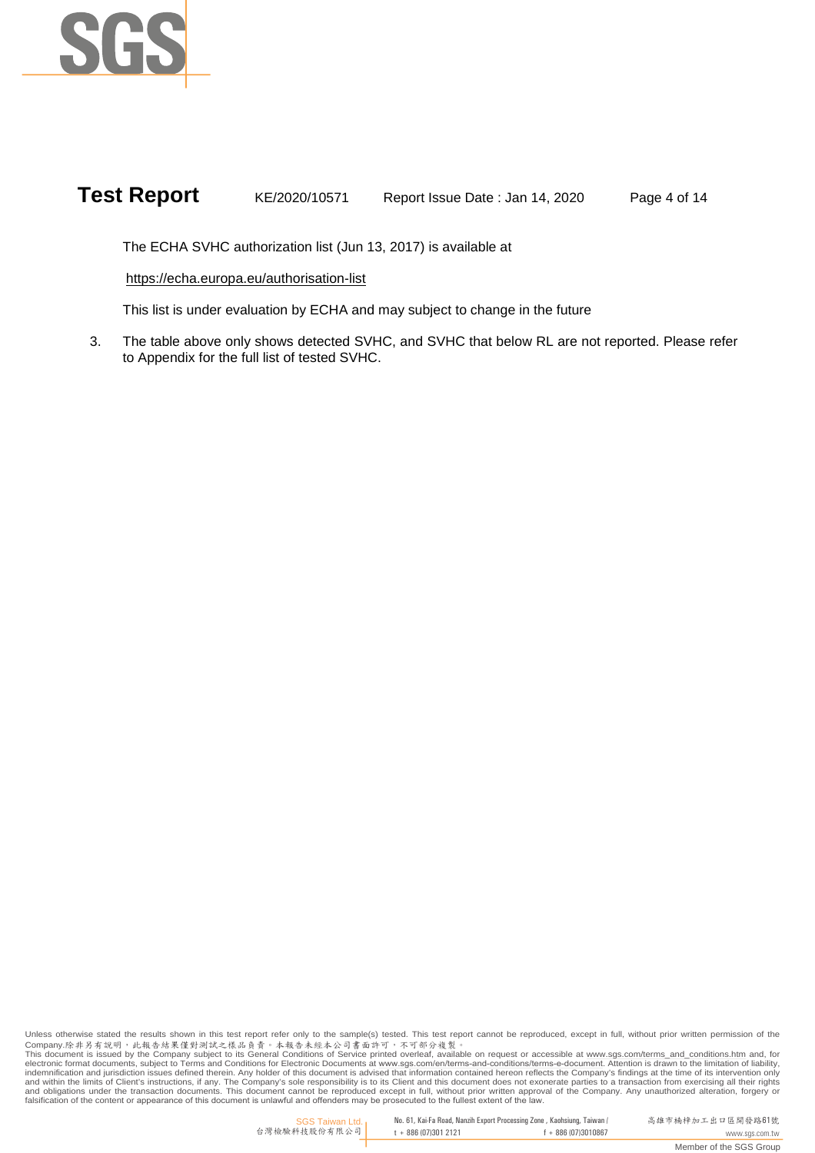

**Test Report** KE/2020/10571 Report Issue Date : Jan 14, 2020 Page 4 of 14

The ECHA SVHC authorization list (Jun 13, 2017) is available at

https://echa.europa.eu/authorisation-list

This list is under evaluation by ECHA and may subject to change in the future

3. The table above only shows detected SVHC, and SVHC that below RL are not reported. Please refer to Appendix for the full list of tested SVHC.

Unless otherwise stated the results shown in this test report refer only to the sample(s) tested. This test report cannot be reproduced, except in full, without prior written permission of the<br>Company.除非另有說明,此報告結果僅對測試之樣品負 and within the limits of Client's instructions, if any. The Company's sole responsibility is to its Client and this document does not exonerate parties to a transaction from exercising all their rights<br>and obligations unde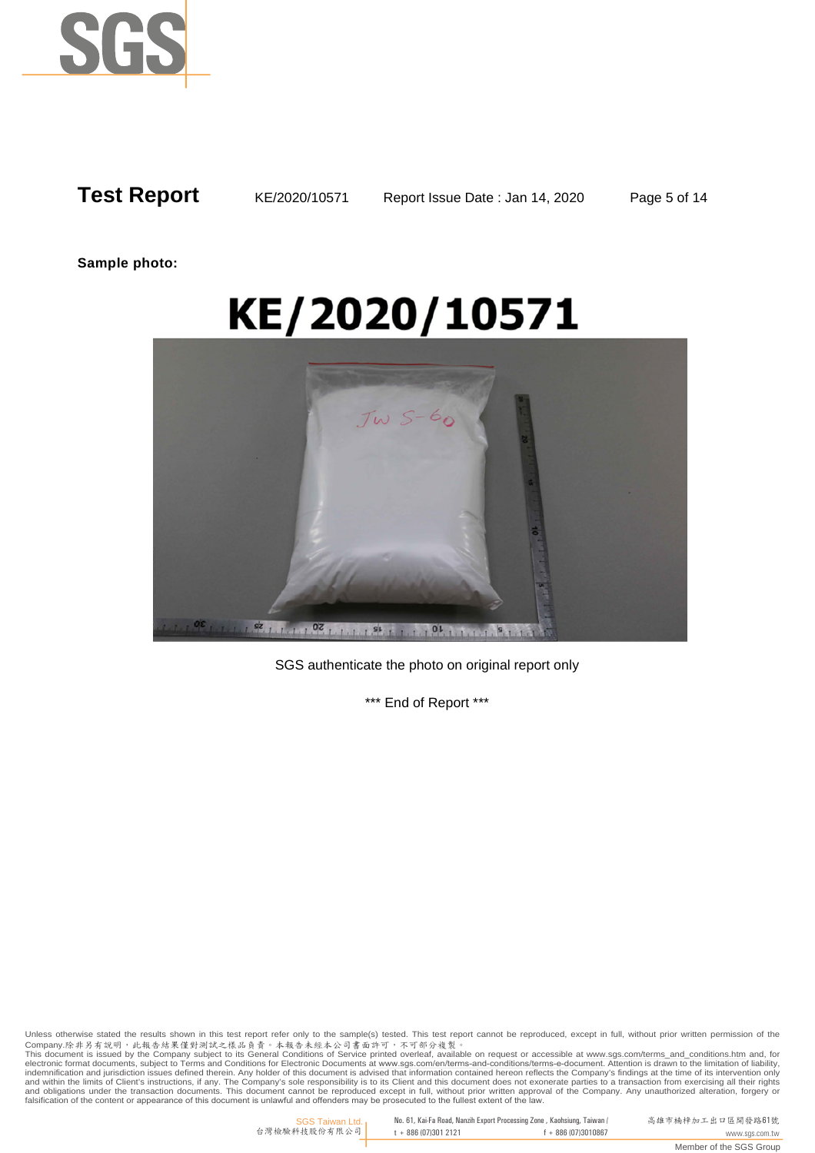

**Sample photo:**

# KE/2020/10571



SGS authenticate the photo on original report only

\*\*\* End of Report \*\*\*

Unless otherwise stated the results shown in this test report refer only to the sample(s) tested. This test report cannot be reproduced, except in full, without prior written permission of the<br>Company.除非另有說明,此報告結果僅對測試之樣品負 and within the limits of Client's instructions, if any. The Company's sole responsibility is to its Client and this document does not exonerate parties to a transaction from exercising all their rights<br>and obligations unde

> SGS Taiwan Ltd. 台灣檢驗科技股份有限公司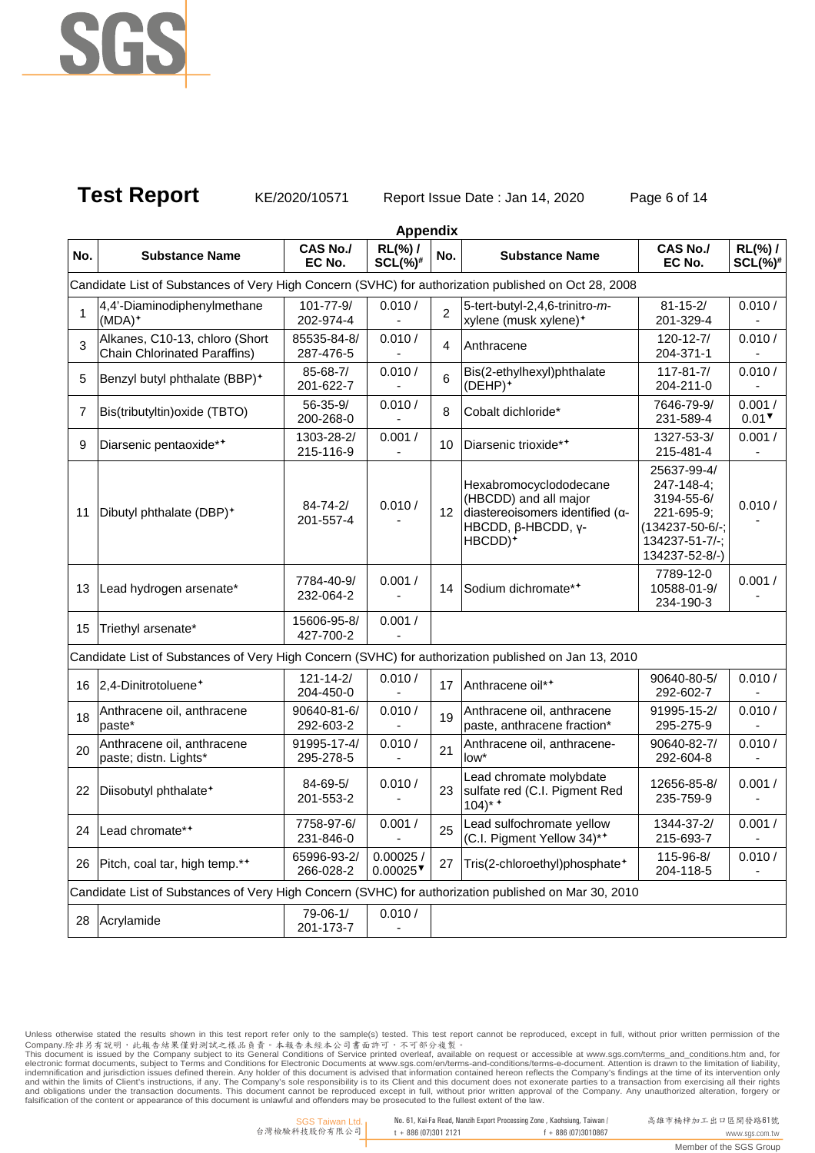

# **Test Report** KE/2020/10571 Report Issue Date : Jan 14, 2020 Page 6 of 14

|     |                                                                                                      |                              | <b>Appendix</b>                    |                |                                                                                                                                          |                                                                                                                      |                                    |
|-----|------------------------------------------------------------------------------------------------------|------------------------------|------------------------------------|----------------|------------------------------------------------------------------------------------------------------------------------------------------|----------------------------------------------------------------------------------------------------------------------|------------------------------------|
| No. | <b>Substance Name</b>                                                                                | <b>CAS No./</b><br>EC No.    | RL(%) /<br>$SCL(\%)^{\#}$          | No.            | <b>Substance Name</b>                                                                                                                    | <b>CAS No./</b><br>EC No.                                                                                            | $RL(\%)$ /<br>$SCL(\%)^*$          |
|     | Candidate List of Substances of Very High Concern (SVHC) for authorization published on Oct 28, 2008 |                              |                                    |                |                                                                                                                                          |                                                                                                                      |                                    |
| 1   | 4,4'-Diaminodiphenylmethane<br>$(MDA)^+$                                                             | 101-77-9/<br>202-974-4       | 0.010 /                            | $\overline{2}$ | 5-tert-butyl-2,4,6-trinitro-m-<br>xylene (musk xylene) <sup>+</sup>                                                                      | $81 - 15 - 2/$<br>201-329-4                                                                                          | 0.010 /                            |
| 3   | Alkanes, C10-13, chloro (Short<br><b>Chain Chlorinated Paraffins)</b>                                | 85535-84-8/<br>287-476-5     | 0.010 /                            | 4              | Anthracene                                                                                                                               | $120 - 12 - 7/$<br>204-371-1                                                                                         | 0.010 /                            |
| 5   | Benzyl butyl phthalate (BBP) <sup>+</sup>                                                            | 85-68-7/<br>201-622-7        | 0.010 /                            | 6              | Bis(2-ethylhexyl)phthalate<br>(DEHP) <sup>+</sup>                                                                                        | $117 - 81 - 7/$<br>204-211-0                                                                                         | 0.010 /                            |
| 7   | Bis(tributyltin) oxide (TBTO)                                                                        | 56-35-9/<br>200-268-0        | 0.010 /                            | 8              | Cobalt dichloride*                                                                                                                       | 7646-79-9/<br>231-589-4                                                                                              | 0.001/<br>$0.01$ <sup>V</sup>      |
| 9   | Diarsenic pentaoxide**                                                                               | 1303-28-2/<br>215-116-9      | 0.001/                             | 10             | Diarsenic trioxide**                                                                                                                     | 1327-53-3/<br>215-481-4                                                                                              | 0.001/                             |
| 11  | Dibutyl phthalate (DBP) <sup>+</sup>                                                                 | $84 - 74 - 2/$<br>201-557-4  | 0.010 /                            | 12             | Hexabromocyclododecane<br>(HBCDD) and all major<br>diastereoisomers identified ( $\alpha$ -<br>HBCDD, β-HBCDD, γ-<br>HBCDD) <sup>+</sup> | 25637-99-4/<br>247-148-4;<br>3194-55-6/<br>221-695-9;<br>$(134237 - 50 - 6/ -$ ;<br>134237-51-7/-;<br>134237-52-8/-) | 0.010 /                            |
| 13  | Lead hydrogen arsenate*                                                                              | 7784-40-9/<br>232-064-2      | 0.001 /                            | 14             | Sodium dichromate**                                                                                                                      | 7789-12-0<br>10588-01-9/<br>234-190-3                                                                                | 0.001/                             |
| 15  | Triethyl arsenate*                                                                                   | 15606-95-8/<br>427-700-2     | 0.001/                             |                |                                                                                                                                          |                                                                                                                      |                                    |
|     | Candidate List of Substances of Very High Concern (SVHC) for authorization published on Jan 13, 2010 |                              |                                    |                |                                                                                                                                          |                                                                                                                      |                                    |
| 16  | 2,4-Dinitrotoluene <sup>+</sup>                                                                      | $121 - 14 - 2/$<br>204-450-0 | 0.010 /                            | 17             | Anthracene oil**                                                                                                                         | 90640-80-5/<br>292-602-7                                                                                             | 0.010 /                            |
| 18  | Anthracene oil, anthracene<br>paste*                                                                 | 90640-81-6/<br>292-603-2     | 0.010 /                            | 19             | Anthracene oil, anthracene<br>paste, anthracene fraction*                                                                                | 91995-15-2/<br>295-275-9                                                                                             | 0.010 /                            |
| 20  | Anthracene oil, anthracene<br>paste; distn. Lights*                                                  | 91995-17-4/<br>295-278-5     | 0.010 /                            | 21             | Anthracene oil, anthracene-<br>low*                                                                                                      | 90640-82-7/<br>292-604-8                                                                                             | 0.010 /                            |
| 22  | Diisobutyl phthalate <sup>+</sup>                                                                    | 84-69-5/<br>201-553-2        | 0.010 /                            | 23             | Lead chromate molybdate<br>sulfate red (C.I. Pigment Red<br>$104$ <sup>*</sup>                                                           | 12656-85-8/<br>235-759-9                                                                                             | 0.001/                             |
|     | 24   Lead chromate**                                                                                 | 7758-97-6/<br>231-846-0      | 0.001/<br>$\blacksquare$           | 25             | Lead sulfochromate yellow<br>(C.I. Pigment Yellow 34)**                                                                                  | 1344-37-2/<br>215-693-7                                                                                              | 0.001/<br>$\overline{\phantom{a}}$ |
| 26  | Pitch, coal tar, high temp.**                                                                        | 65996-93-2/<br>266-028-2     | 0.00025/<br>$0.00025$ <sup>V</sup> | 27             | Tris(2-chloroethyl)phosphate <sup>+</sup>                                                                                                | 115-96-8/<br>204-118-5                                                                                               | 0.010 /                            |
|     | Candidate List of Substances of Very High Concern (SVHC) for authorization published on Mar 30, 2010 |                              |                                    |                |                                                                                                                                          |                                                                                                                      |                                    |
| 28  | Acrylamide                                                                                           | 79-06-1/<br>201-173-7        | 0.010 /                            |                |                                                                                                                                          |                                                                                                                      |                                    |

Unless otherwise stated the results shown in this test report refer only to the sample(s) tested. This test report cannot be reproduced, except in full, without prior written permission of the<br>Company.除非另有說明,此報告結果僅對測試之樣品貢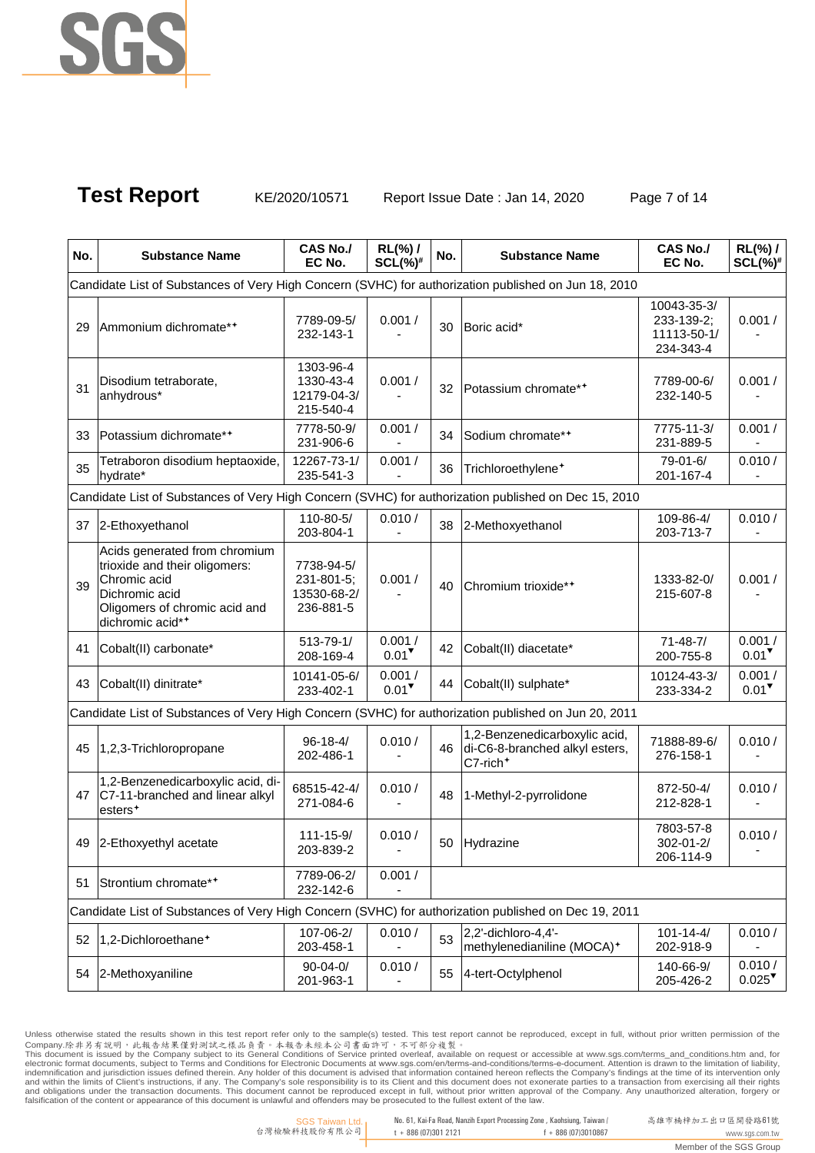

Test Report KE/2020/10571 Report Issue Date : Jan 14, 2020 Page 7 of 14

| No. | <b>Substance Name</b>                                                                                                                                 | <b>CAS No./</b><br>EC No.                            | RL(%) /<br>$SCL(\%)^{\#}$     | No. | <b>Substance Name</b>                                                                   | <b>CAS No./</b><br>EC No.                             | $RL(\%)$ /<br>$SCL(\%)^*$      |
|-----|-------------------------------------------------------------------------------------------------------------------------------------------------------|------------------------------------------------------|-------------------------------|-----|-----------------------------------------------------------------------------------------|-------------------------------------------------------|--------------------------------|
|     | Candidate List of Substances of Very High Concern (SVHC) for authorization published on Jun 18, 2010                                                  |                                                      |                               |     |                                                                                         |                                                       |                                |
| 29  | Ammonium dichromate**                                                                                                                                 | 7789-09-5/<br>232-143-1                              | 0.001/                        | 30  | Boric acid*                                                                             | 10043-35-3/<br>233-139-2;<br>11113-50-1/<br>234-343-4 | 0.001/                         |
| 31  | Disodium tetraborate,<br>anhydrous*                                                                                                                   | 1303-96-4<br>1330-43-4<br>12179-04-3/<br>215-540-4   | 0.001/                        | 32  | Potassium chromate**                                                                    | 7789-00-6/<br>232-140-5                               | 0.001/                         |
| 33  | Potassium dichromate**                                                                                                                                | 7778-50-9/<br>231-906-6                              | 0.001/                        | 34  | Sodium chromate**                                                                       | 7775-11-3/<br>231-889-5                               | 0.001/                         |
| 35  | Tetraboron disodium heptaoxide,<br>hydrate*                                                                                                           | 12267-73-1/<br>235-541-3                             | 0.001/                        | 36  | Trichloroethylene <sup>+</sup>                                                          | 79-01-6/<br>201-167-4                                 | 0.010 /                        |
|     | Candidate List of Substances of Very High Concern (SVHC) for authorization published on Dec 15, 2010                                                  |                                                      |                               |     |                                                                                         |                                                       |                                |
| 37  | 2-Ethoxyethanol                                                                                                                                       | 110-80-5/<br>203-804-1                               | 0.010 /                       | 38  | 2-Methoxyethanol                                                                        | 109-86-4/<br>203-713-7                                | 0.010 /                        |
| 39  | Acids generated from chromium<br>trioxide and their oligomers:<br>Chromic acid<br>Dichromic acid<br>Oligomers of chromic acid and<br>dichromic acid** | 7738-94-5/<br>231-801-5;<br>13530-68-2/<br>236-881-5 | 0.001/                        | 40  | Chromium trioxide**                                                                     | 1333-82-0/<br>215-607-8                               | 0.001/                         |
| 41  | Cobalt(II) carbonate*                                                                                                                                 | 513-79-1/<br>208-169-4                               | 0.001/<br>$0.01$ <sup>V</sup> | 42  | Cobalt(II) diacetate*                                                                   | $71 - 48 - 7/$<br>200-755-8                           | 0.001/<br>$0.01$ <sup>V</sup>  |
| 43  | Cobalt(II) dinitrate*                                                                                                                                 | 10141-05-6/<br>233-402-1                             | 0.001/<br>$0.01$ <sup>V</sup> | 44  | Cobalt(II) sulphate*                                                                    | 10124-43-3/<br>233-334-2                              | 0.001/<br>$0.01$ <sup>V</sup>  |
|     | Candidate List of Substances of Very High Concern (SVHC) for authorization published on Jun 20, 2011                                                  |                                                      |                               |     |                                                                                         |                                                       |                                |
| 45  | 1,2,3-Trichloropropane                                                                                                                                | $96 - 18 - 4/$<br>202-486-1                          | 0.010 /                       | 46  | 1,2-Benzenedicarboxylic acid,<br>di-C6-8-branched alkyl esters,<br>C7-rich <sup>+</sup> | 71888-89-6/<br>276-158-1                              | 0.010 /                        |
| 47  | 1,2-Benzenedicarboxylic acid, di-<br>C7-11-branched and linear alkyl<br>esters <sup>+</sup>                                                           | 68515-42-4/<br>271-084-6                             | 0.010 /                       | 48  | 1-Methyl-2-pyrrolidone                                                                  | 872-50-4/<br>212-828-1                                | 0.010 /                        |
|     | 49 2-Ethoxyethyl acetate                                                                                                                              | $111 - 15 - 9/$<br>203-839-2                         | 0.010/                        | 50  | Hydrazine                                                                               | 7803-57-8<br>302-01-2/<br>206-114-9                   | 0.010 /                        |
| 51  | Strontium chromate**                                                                                                                                  | 7789-06-2/<br>232-142-6                              | 0.001/                        |     |                                                                                         |                                                       |                                |
|     | Candidate List of Substances of Very High Concern (SVHC) for authorization published on Dec 19, 2011                                                  |                                                      |                               |     |                                                                                         |                                                       |                                |
| 52  | 1,2-Dichloroethane <sup>+</sup>                                                                                                                       | 107-06-2/<br>203-458-1                               | 0.010 /                       | 53  | 2,2'-dichloro-4,4'-<br>methylenedianiline (MOCA) <sup>+</sup>                           | $101 - 14 - 4/$<br>202-918-9                          | 0.010 /                        |
| 54  | 2-Methoxyaniline                                                                                                                                      | $90 - 04 - 0/$<br>201-963-1                          | 0.010 /                       | 55  | 4-tert-Octylphenol                                                                      | 140-66-9/<br>205-426-2                                | 0.010/<br>$0.025$ <sup>V</sup> |

Unless otherwise stated the results shown in this test report refer only to the sample(s) tested. This test report cannot be reproduced, except in full, without prior written permission of the<br>Company.除非另有說明,此報告結果僅對測試之樣品貢

SGS Taiwan Ltd. 台灣檢驗科技股份有限公司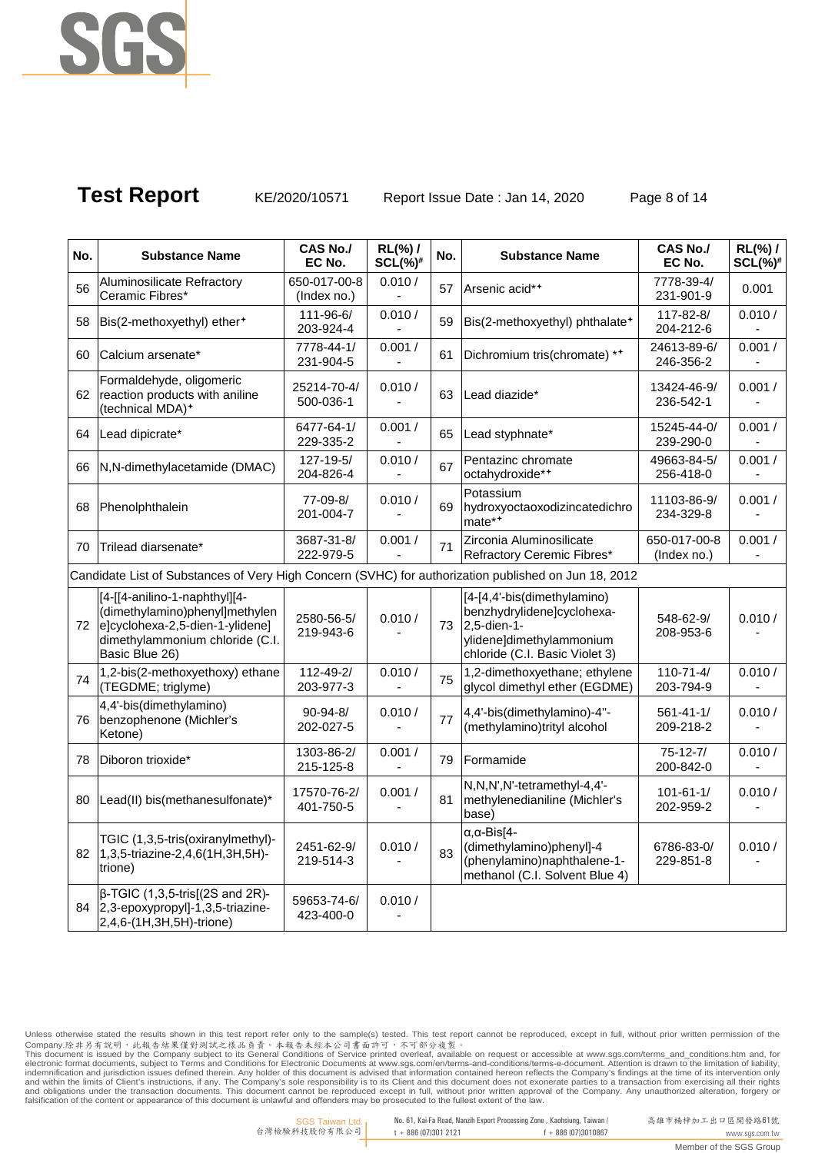

**Test Report** KE/2020/10571 Report Issue Date : Jan 14, 2020 Page 8 of 14

| No. | <b>Substance Name</b>                                                                                                                                   | CAS No./<br>EC No.          | RL(%) /<br>$SCL(\%)^{\#}$ | No. | <b>Substance Name</b>                                                                                                                     | <b>CAS No./</b><br>EC No.    | RL(%) /<br>$SCL(\%)^*$ |
|-----|---------------------------------------------------------------------------------------------------------------------------------------------------------|-----------------------------|---------------------------|-----|-------------------------------------------------------------------------------------------------------------------------------------------|------------------------------|------------------------|
| 56  | Aluminosilicate Refractory<br>Ceramic Fibres*                                                                                                           | 650-017-00-8<br>(Index no.) | 0.010 /                   | 57  | Arsenic acid**                                                                                                                            | 7778-39-4/<br>231-901-9      | 0.001                  |
| 58  | Bis(2-methoxyethyl) ether <sup>+</sup>                                                                                                                  | 111-96-6/<br>203-924-4      | 0.010/                    | 59  | Bis(2-methoxyethyl) phthalate <sup>+</sup>                                                                                                | 117-82-8/<br>204-212-6       | 0.010/                 |
| 60  | Calcium arsenate*                                                                                                                                       | 7778-44-1/<br>231-904-5     | 0.001/                    | 61  | Dichromium tris(chromate) **                                                                                                              | 24613-89-6/<br>246-356-2     | 0.001/                 |
| 62  | Formaldehyde, oligomeric<br>reaction products with aniline<br>(technical MDA) <sup>+</sup>                                                              | 25214-70-4/<br>500-036-1    | 0.010 /                   | 63  | Lead diazide*                                                                                                                             | 13424-46-9/<br>236-542-1     | 0.001/                 |
| 64  | Lead dipicrate*                                                                                                                                         | 6477-64-1/<br>229-335-2     | 0.001/                    | 65  | Lead styphnate*                                                                                                                           | 15245-44-0/<br>239-290-0     | 0.001/                 |
| 66  | N,N-dimethylacetamide (DMAC)                                                                                                                            | 127-19-5/<br>204-826-4      | 0.010 /                   | 67  | Pentazinc chromate<br>octahydroxide**                                                                                                     | 49663-84-5/<br>256-418-0     | 0.001/                 |
| 68  | Phenolphthalein                                                                                                                                         | 77-09-8/<br>201-004-7       | 0.010 /                   | 69  | Potassium<br>hydroxyoctaoxodizincatedichro<br>$\text{mate}^{*+}$                                                                          | 11103-86-9/<br>234-329-8     | 0.001/                 |
| 70  | Trilead diarsenate*                                                                                                                                     | 3687-31-8/<br>222-979-5     | 0.001/                    | 71  | Zirconia Aluminosilicate<br>Refractory Ceremic Fibres*                                                                                    | 650-017-00-8<br>(Index no.)  | 0.001/                 |
|     | Candidate List of Substances of Very High Concern (SVHC) for authorization published on Jun 18, 2012                                                    |                             |                           |     |                                                                                                                                           |                              |                        |
| 72  | [4-[[4-anilino-1-naphthyl][4-<br>(dimethylamino)phenyl]methylen<br>e]cyclohexa-2,5-dien-1-ylidene]<br>dimethylammonium chloride (C.I.<br>Basic Blue 26) | 2580-56-5/<br>219-943-6     | 0.010/                    |     | [4-[4,4'-bis(dimethylamino)<br>benzhydrylidene]cyclohexa-<br>73 2,5-dien-1-<br>ylidene]dimethylammonium<br>chloride (C.I. Basic Violet 3) | 548-62-9/<br>208-953-6       | 0.010/                 |
| 74  | 1,2-bis(2-methoxyethoxy) ethane<br>(TEGDME; triglyme)                                                                                                   | 112-49-2/<br>203-977-3      | 0.010 /                   | 75  | 1,2-dimethoxyethane; ethylene<br>glycol dimethyl ether (EGDME)                                                                            | $110 - 71 - 4/$<br>203-794-9 | 0.010 /                |
| 76  | 4,4'-bis(dimethylamino)<br>benzophenone (Michler's<br>Ketone)                                                                                           | $90 - 94 - 8/$<br>202-027-5 | 0.010 /                   | 77  | 4,4'-bis(dimethylamino)-4"-<br>(methylamino)trityl alcohol                                                                                | $561 - 41 - 1/$<br>209-218-2 | 0.010/                 |
| 78  | Diboron trioxide*                                                                                                                                       | 1303-86-2/<br>215-125-8     | 0.001/                    | 79  | Formamide                                                                                                                                 | $75-12-7/$<br>200-842-0      | 0.010 /                |
| 80  | Lead(II) bis(methanesulfonate)*                                                                                                                         | 17570-76-2/<br>401-750-5    | 0.001/                    | 81  | N,N,N',N'-tetramethyl-4,4'-<br>methylenedianiline (Michler's<br>base)                                                                     | $101 - 61 - 1/$<br>202-959-2 | 0.010 /                |
| 82  | TGIC (1,3,5-tris(oxiranylmethyl)-<br>1,3,5-triazine-2,4,6(1H,3H,5H)-<br>trione)                                                                         | 2451-62-9/<br>219-514-3     | 0.010/                    | 83  | $\alpha$ , $\alpha$ -Bis[4-<br>(dimethylamino)phenyl]-4<br>(phenylamino)naphthalene-1-<br>methanol (C.I. Solvent Blue 4)                  | 6786-83-0/<br>229-851-8      | 0.010/                 |
| 84  | $\beta$ -TGIC (1,3,5-tris[(2S and 2R)-<br>2,3-epoxypropyl]-1,3,5-triazine-<br>2,4,6-(1H,3H,5H)-trione)                                                  | 59653-74-6/<br>423-400-0    | 0.010 /                   |     |                                                                                                                                           |                              |                        |

Unless otherwise stated the results shown in this test report refer only to the sample(s) tested. This test report cannot be reproduced, except in full, without prior written permission of the<br>Company.除非另有說明,此報告結果僅對測試之樣品貢

 No. 61, Kai-Fa Road, Nanzih Export Processing Zone , Kaohsiung, Taiwan / t + 886 (07)301 2121 f + 886 (07)3010867

Member of the SGS Group

高雄市楠梓加工出口區開發路61號 www.sgs.com.tw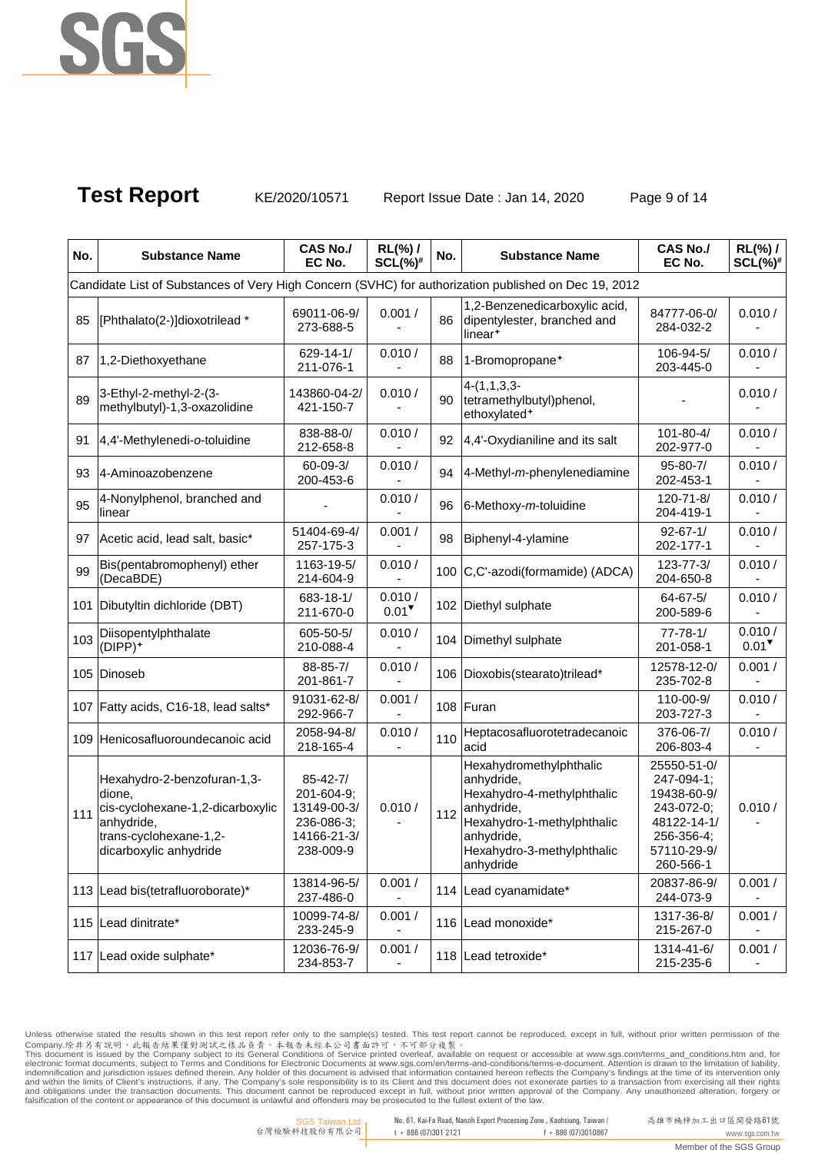

**Test Report** KE/2020/10571 Report Issue Date : Jan 14, 2020 Page 9 of 14

| No. | <b>Substance Name</b>                                                                                                                       | <b>CAS No./</b><br>EC No.                                                             | RL(%) /<br>$SCL(\%)^{\#}$      | No. | <b>Substance Name</b>                                                                                                                                                    | <b>CAS No./</b><br>EC No.                                                                                       | $RL(\%)$ /<br>$SCL(\%)^{\#}$   |
|-----|---------------------------------------------------------------------------------------------------------------------------------------------|---------------------------------------------------------------------------------------|--------------------------------|-----|--------------------------------------------------------------------------------------------------------------------------------------------------------------------------|-----------------------------------------------------------------------------------------------------------------|--------------------------------|
|     | Candidate List of Substances of Very High Concern (SVHC) for authorization published on Dec 19, 2012                                        |                                                                                       |                                |     |                                                                                                                                                                          |                                                                                                                 |                                |
| 85  | [Phthalato(2-)]dioxotrilead *                                                                                                               | 69011-06-9/<br>273-688-5                                                              | 0.001/                         | 86  | 1,2-Benzenedicarboxylic acid,<br>dipentylester, branched and<br>linear <sup>+</sup>                                                                                      | 84777-06-0/<br>284-032-2                                                                                        | 0.010/                         |
| 87  | 1,2-Diethoxyethane                                                                                                                          | $629 - 14 - 1/$<br>211-076-1                                                          | 0.010/                         | 88  | 1-Bromopropane <sup>+</sup>                                                                                                                                              | 106-94-5/<br>203-445-0                                                                                          | 0.010/                         |
| 89  | 3-Ethyl-2-methyl-2-(3-<br>methylbutyl)-1,3-oxazolidine                                                                                      | 143860-04-2/<br>421-150-7                                                             | 0.010/                         | 90  | $4-(1,1,3,3-$<br>tetramethylbutyl)phenol,<br>ethoxylated <sup>+</sup>                                                                                                    |                                                                                                                 | 0.010/                         |
| 91  | 4,4'-Methylenedi-o-toluidine                                                                                                                | 838-88-0/<br>212-658-8                                                                | 0.010/                         | 92  | 4,4'-Oxydianiline and its salt                                                                                                                                           | 101-80-4/<br>202-977-0                                                                                          | 0.010/                         |
| 93  | 4-Aminoazobenzene                                                                                                                           | $60 - 09 - 3/$<br>200-453-6                                                           | 0.010 /                        | 94  | $4$ -Methyl- $m$ -phenylenediamine                                                                                                                                       | $95 - 80 - 7/$<br>202-453-1                                                                                     | 0.010/                         |
| 95  | 4-Nonylphenol, branched and<br>linear                                                                                                       |                                                                                       | 0.010 /                        | 96  | 6-Methoxy-m-toluidine                                                                                                                                                    | 120-71-8/<br>204-419-1                                                                                          | 0.010/                         |
| 97  | Acetic acid, lead salt, basic*                                                                                                              | 51404-69-4/<br>257-175-3                                                              | 0.001/                         | 98  | Biphenyl-4-ylamine                                                                                                                                                       | $92 - 67 - 1/$<br>202-177-1                                                                                     | 0.010/                         |
| 99  | Bis(pentabromophenyl) ether<br>(DecaBDE)                                                                                                    | 1163-19-5/<br>214-604-9                                                               | 0.010 /                        |     | 100 C,C'-azodi(formamide) (ADCA)                                                                                                                                         | $123 - 77 - 3/$<br>204-650-8                                                                                    | 0.010/                         |
|     | 101 Dibutyltin dichloride (DBT)                                                                                                             | 683-18-1/<br>211-670-0                                                                | 0.010 /<br>$0.01$ <sup>V</sup> |     | 102 Diethyl sulphate                                                                                                                                                     | $64 - 67 - 5/$<br>200-589-6                                                                                     | 0.010 /                        |
| 103 | Diisopentylphthalate<br>(DIPP) <sup>+</sup>                                                                                                 | 605-50-5/<br>210-088-4                                                                | 0.010/                         |     | 104 Dimethyl sulphate                                                                                                                                                    | $77 - 78 - 1/$<br>201-058-1                                                                                     | 0.010 /<br>$0.01$ <sup>V</sup> |
|     | 105 Dinoseb                                                                                                                                 | 88-85-7/<br>201-861-7                                                                 | 0.010 /                        |     | 106 Dioxobis(stearato)trilead*                                                                                                                                           | 12578-12-0/<br>235-702-8                                                                                        | 0.001/                         |
|     | 107 Fatty acids, C16-18, lead salts*                                                                                                        | 91031-62-8/<br>292-966-7                                                              | 0.001/                         |     | 108 Furan                                                                                                                                                                | 110-00-9/<br>203-727-3                                                                                          | 0.010/                         |
|     | 109 Henicosafluoroundecanoic acid                                                                                                           | 2058-94-8/<br>218-165-4                                                               | 0.010/                         | 110 | Heptacosafluorotetradecanoic<br>acid                                                                                                                                     | 376-06-7/<br>206-803-4                                                                                          | 0.010/                         |
| 111 | Hexahydro-2-benzofuran-1,3-<br>dione,<br>cis-cyclohexane-1,2-dicarboxylic<br>anhydride,<br>trans-cyclohexane-1,2-<br>dicarboxylic anhydride | $85 - 42 - 7/$<br>201-604-9;<br>13149-00-3/<br>236-086-3;<br>14166-21-3/<br>238-009-9 | 0.010 /                        | 112 | Hexahydromethylphthalic<br>anhydride,<br>Hexahydro-4-methylphthalic<br>anhydride,<br>Hexahydro-1-methylphthalic<br>anhydride,<br>Hexahydro-3-methylphthalic<br>anhydride | 25550-51-0/<br>247-094-1;<br>19438-60-9/<br>243-072-0;<br>48122-14-1/<br>256-356-4;<br>57110-29-9/<br>260-566-1 | 0.010/                         |
|     | 113 Lead bis(tetrafluoroborate)*                                                                                                            | 13814-96-5/<br>237-486-0                                                              | 0.001/                         |     | 114 Lead cyanamidate*                                                                                                                                                    | 20837-86-9/<br>244-073-9                                                                                        | 0.001/                         |
|     | 115 Lead dinitrate*                                                                                                                         | 10099-74-8/<br>233-245-9                                                              | 0.001/                         |     | 116 Lead monoxide*                                                                                                                                                       | 1317-36-8/<br>215-267-0                                                                                         | 0.001/                         |
|     | 117 Lead oxide sulphate*                                                                                                                    | 12036-76-9/<br>234-853-7                                                              | 0.001/                         |     | 118 Lead tetroxide*                                                                                                                                                      | 1314-41-6/<br>215-235-6                                                                                         | 0.001/                         |

Unless otherwise stated the results shown in this test report refer only to the sample(s) tested. This test report cannot be reproduced, except in full, without prior written permission of the<br>Company.除非另有說明,此報告結果僅對測試之樣品貢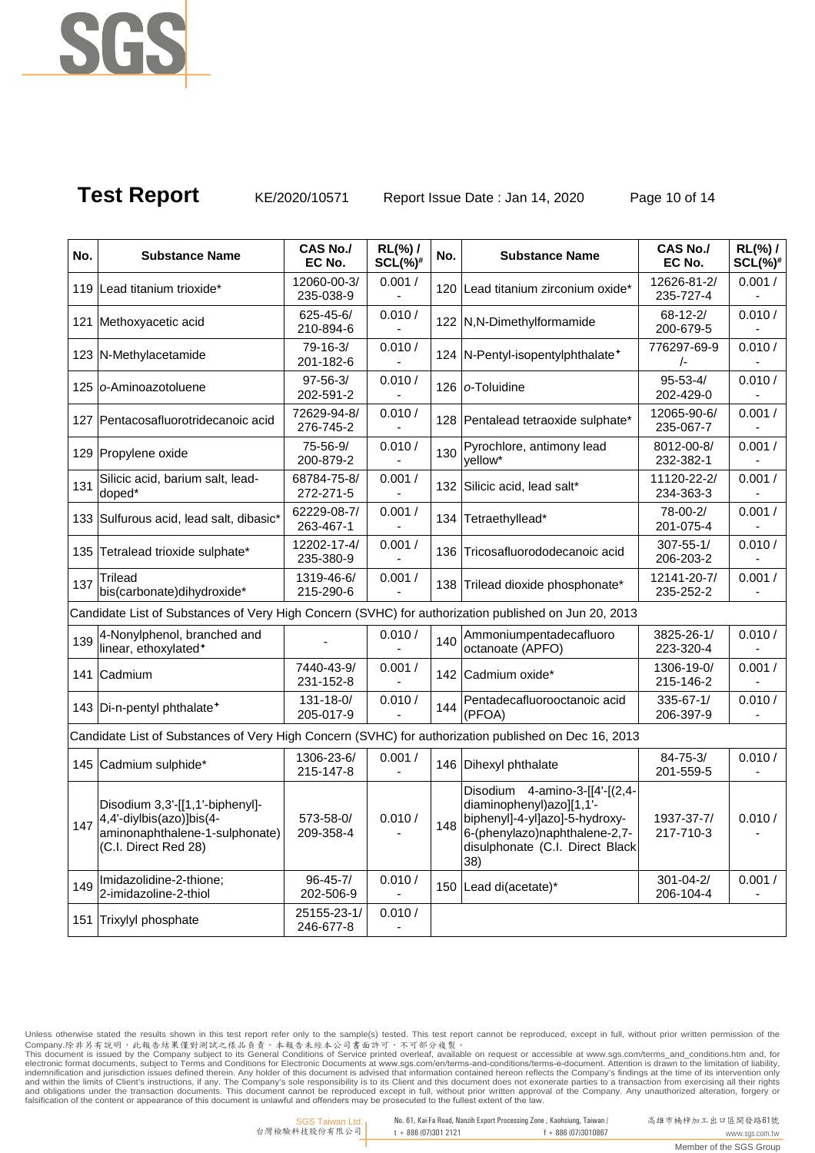

**Test Report** KE/2020/10571 Report Issue Date : Jan 14, 2020 Page 10 of 14

| No. | <b>Substance Name</b>                                                                                                 | <b>CAS No./</b><br>EC No.   | RL(%) /<br>$SCL(\%)^*$ | No. | <b>Substance Name</b>                                                                                                                                                   | <b>CAS No./</b><br>EC No.    | $RL(\%)$ /<br>$SCL(\%)^{\#}$ |
|-----|-----------------------------------------------------------------------------------------------------------------------|-----------------------------|------------------------|-----|-------------------------------------------------------------------------------------------------------------------------------------------------------------------------|------------------------------|------------------------------|
|     | 119 Lead titanium trioxide*                                                                                           | 12060-00-3/<br>235-038-9    | 0.001/                 |     | 120 Lead titanium zirconium oxide*                                                                                                                                      | 12626-81-2/<br>235-727-4     | 0.001/                       |
|     | 121 Methoxyacetic acid                                                                                                | 625-45-6/<br>210-894-6      | 0.010 /                |     | 122 N,N-Dimethylformamide                                                                                                                                               | $68 - 12 - 2/$<br>200-679-5  | 0.010 /                      |
|     | 123 N-Methylacetamide                                                                                                 | $79 - 16 - 3/$<br>201-182-6 | 0.010 /                |     | 124 N-Pentyl-isopentylphthalate <sup>+</sup>                                                                                                                            | 776297-69-9<br>$\sqrt{-}$    | 0.010/                       |
|     | 125 o-Aminoazotoluene                                                                                                 | $97 - 56 - 3/$<br>202-591-2 | 0.010 /                |     | 126 o-Toluidine                                                                                                                                                         | $95 - 53 - 4/$<br>202-429-0  | 0.010 /                      |
|     | 127 Pentacosafluorotridecanoic acid                                                                                   | 72629-94-8/<br>276-745-2    | 0.010 /                |     | 128 Pentalead tetraoxide sulphate*                                                                                                                                      | 12065-90-6/<br>235-067-7     | 0.001/                       |
|     | 129 Propylene oxide                                                                                                   | 75-56-9/<br>200-879-2       | 0.010 /                | 130 | Pyrochlore, antimony lead<br>yellow*                                                                                                                                    | 8012-00-8/<br>232-382-1      | 0.001/                       |
| 131 | Silicic acid, barium salt, lead-<br>doped*                                                                            | 68784-75-8/<br>272-271-5    | 0.001/                 |     | 132 Silicic acid, lead salt*                                                                                                                                            | 11120-22-2/<br>234-363-3     | 0.001/                       |
|     | 133 Sulfurous acid, lead salt, dibasic*                                                                               | 62229-08-7/<br>263-467-1    | 0.001/                 |     | 134 Tetraethyllead*                                                                                                                                                     | 78-00-2/<br>201-075-4        | 0.001/                       |
|     | 135 Tetralead trioxide sulphate*                                                                                      | 12202-17-4/<br>235-380-9    | 0.001/                 |     | 136 Tricosafluorododecanoic acid                                                                                                                                        | $307 - 55 - 1/$<br>206-203-2 | 0.010 /                      |
| 137 | <b>Trilead</b><br>bis(carbonate)dihydroxide*                                                                          | 1319-46-6/<br>215-290-6     | 0.001/                 |     | 138 Trilead dioxide phosphonate*                                                                                                                                        | 12141-20-7/<br>235-252-2     | 0.001/                       |
|     | Candidate List of Substances of Very High Concern (SVHC) for authorization published on Jun 20, 2013                  |                             |                        |     |                                                                                                                                                                         |                              |                              |
| 139 | 4-Nonylphenol, branched and<br>linear, ethoxylated <sup>+</sup>                                                       |                             | 0.010 /                | 140 | Ammoniumpentadecafluoro<br>octanoate (APFO)                                                                                                                             | 3825-26-1/<br>223-320-4      | 0.010 /                      |
|     | 141 Cadmium                                                                                                           | 7440-43-9/<br>231-152-8     | 0.001/                 |     | 142 Cadmium oxide*                                                                                                                                                      | 1306-19-0/<br>215-146-2      | 0.001/                       |
|     | 143 Di-n-pentyl phthalate <sup>+</sup>                                                                                | 131-18-0/<br>205-017-9      | 0.010 /                | 144 | Pentadecafluorooctanoic acid<br>(PFOA)                                                                                                                                  | 335-67-1/<br>206-397-9       | 0.010 /                      |
|     | Candidate List of Substances of Very High Concern (SVHC) for authorization published on Dec 16, 2013                  |                             |                        |     |                                                                                                                                                                         |                              |                              |
|     | 145 Cadmium sulphide*                                                                                                 | 1306-23-6/<br>215-147-8     | 0.001/                 |     | 146 Dihexyl phthalate                                                                                                                                                   | $84 - 75 - 3/$<br>201-559-5  | 0.010 /                      |
| 147 | Disodium 3,3'-[[1,1'-biphenyl]-<br>4,4'-diylbis(azo)]bis(4-<br>aminonaphthalene-1-sulphonate)<br>(C.I. Direct Red 28) | 573-58-0/<br>209-358-4      | 0.010 /                | 148 | Disodium 4-amino-3-[[4'-[(2,4-<br>diaminophenyl)azo][1,1'-<br>biphenyl]-4-yl]azo]-5-hydroxy-<br>6-(phenylazo)naphthalene-2,7-<br>disulphonate (C.I. Direct Black<br>38) | 1937-37-7/<br>217-710-3      | 0.010 /                      |
| 149 | Imidazolidine-2-thione;<br>2-imidazoline-2-thiol                                                                      | $96 - 45 - 7/$<br>202-506-9 | 0.010 /                |     | 150 Lead di(acetate)*                                                                                                                                                   | $301 - 04 - 2/$<br>206-104-4 | 0.001/                       |
|     | 151 Trixylyl phosphate                                                                                                | 25155-23-1/<br>246-677-8    | 0.010 /                |     |                                                                                                                                                                         |                              |                              |

Unless otherwise stated the results shown in this test report refer only to the sample(s) tested. This test report cannot be reproduced, except in full, without prior written permission of the<br>Company.除非另有說明,此報告結果僅對測試之樣品貢

高雄市楠梓加工出口區開發路61號 www.sgs.com.tw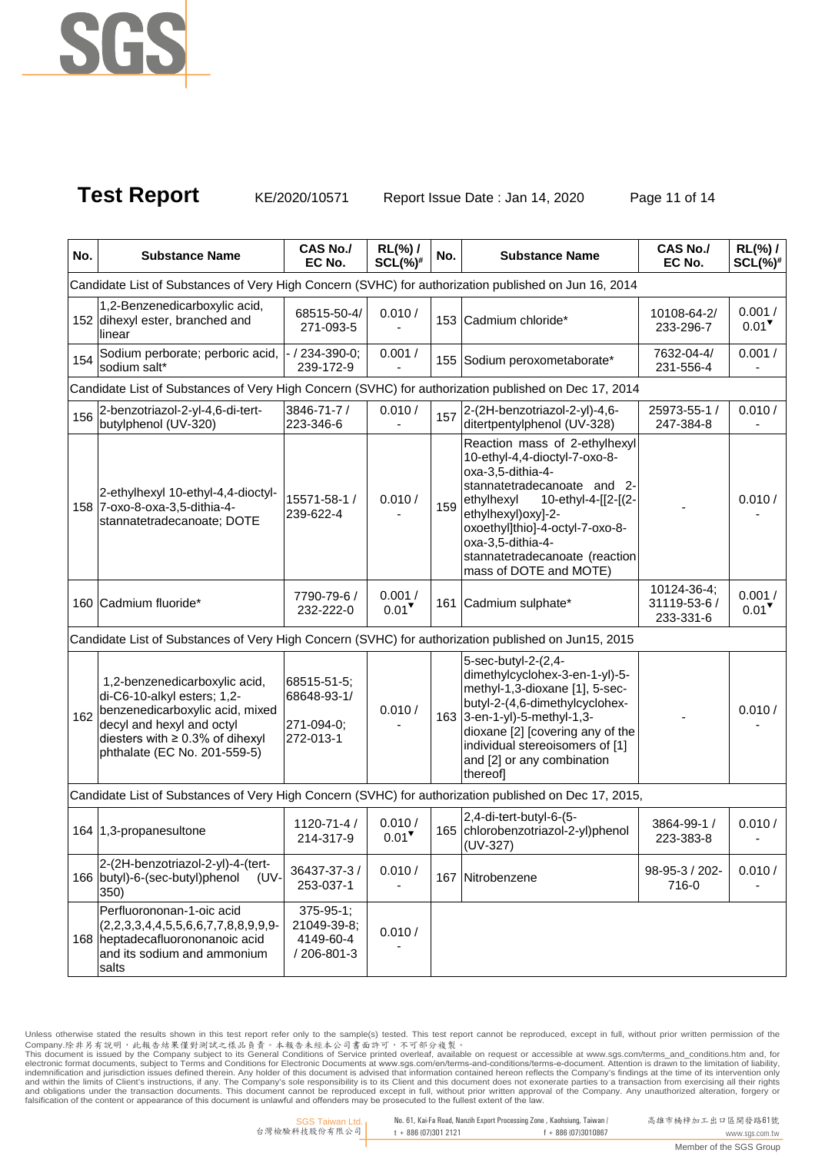

**Test Report** KE/2020/10571 Report Issue Date : Jan 14, 2020 Page 11 of 14

| No. | <b>Substance Name</b>                                                                                                                                                                                 | <b>CAS No./</b><br>EC No.                                   | $RL(\%)$ /<br>$SCL(\%)^{\#}$   | No. | <b>Substance Name</b>                                                                                                                                                                                                                                                                              | <b>CAS No./</b><br>EC No.                | $RL(\%)$ /<br>$SCL(\%)^{\#}$  |
|-----|-------------------------------------------------------------------------------------------------------------------------------------------------------------------------------------------------------|-------------------------------------------------------------|--------------------------------|-----|----------------------------------------------------------------------------------------------------------------------------------------------------------------------------------------------------------------------------------------------------------------------------------------------------|------------------------------------------|-------------------------------|
|     | Candidate List of Substances of Very High Concern (SVHC) for authorization published on Jun 16, 2014                                                                                                  |                                                             |                                |     |                                                                                                                                                                                                                                                                                                    |                                          |                               |
|     | 1,2-Benzenedicarboxylic acid,<br>152 dihexyl ester, branched and<br>linear                                                                                                                            | 68515-50-4/<br>271-093-5                                    | 0.010 /                        |     | 153 Cadmium chloride*                                                                                                                                                                                                                                                                              | 10108-64-2/<br>233-296-7                 | 0.001/<br>$0.01$ <sup>V</sup> |
| 154 | Sodium perborate; perboric acid,<br>sodium salt*                                                                                                                                                      | 234-390-0;<br>239-172-9                                     | 0.001/                         |     | 155 Sodium peroxometaborate*                                                                                                                                                                                                                                                                       | 7632-04-4/<br>231-556-4                  | 0.001/                        |
|     | Candidate List of Substances of Very High Concern (SVHC) for authorization published on Dec 17, 2014                                                                                                  |                                                             |                                |     |                                                                                                                                                                                                                                                                                                    |                                          |                               |
| 156 | 2-benzotriazol-2-yl-4,6-di-tert-<br>butylphenol (UV-320)                                                                                                                                              | 3846-71-7 /<br>223-346-6                                    | 0.010 /                        |     | 157 $2-(2H\text{-}benzotriazol-2-yl)-4,6-$<br>ditertpentylphenol (UV-328)                                                                                                                                                                                                                          | 25973-55-1 /<br>247-384-8                | 0.010/                        |
|     | 2-ethylhexyl 10-ethyl-4,4-dioctyl-<br>158 7-oxo-8-oxa-3,5-dithia-4-<br>stannatetradecanoate; DOTE                                                                                                     | 15571-58-1 /<br>239-622-4                                   | 0.010 /                        | 159 | Reaction mass of 2-ethylhexyl<br>10-ethyl-4,4-dioctyl-7-oxo-8-<br>oxa-3,5-dithia-4-<br>stannatetradecanoate and 2-<br>ethylhexyl<br>10-ethyl-4-[[2-[(2-<br>ethylhexyl) oxyl-2-<br>oxoethyl]thio]-4-octyl-7-oxo-8-<br>oxa-3,5-dithia-4-<br>stannatetradecanoate (reaction<br>mass of DOTE and MOTE) |                                          | 0.010/                        |
|     | 160 Cadmium fluoride*                                                                                                                                                                                 | 7790-79-6 /<br>232-222-0                                    | 0.001/<br>$0.01$ <sup>V</sup>  |     | 161 Cadmium sulphate*                                                                                                                                                                                                                                                                              | 10124-36-4;<br>31119-53-6 /<br>233-331-6 | 0.001/<br>$0.01$ <sup>V</sup> |
|     | Candidate List of Substances of Very High Concern (SVHC) for authorization published on Jun15, 2015                                                                                                   |                                                             |                                |     |                                                                                                                                                                                                                                                                                                    |                                          |                               |
| 162 | 1,2-benzenedicarboxylic acid,<br>di-C6-10-alkyl esters; 1,2-<br>benzenedicarboxylic acid, mixed<br>decyl and hexyl and octyl<br>diesters with $\geq 0.3\%$ of dihexyl<br>phthalate (EC No. 201-559-5) | 68515-51-5:<br>68648-93-1/<br>271-094-0;<br>272-013-1       | 0.010 /                        |     | 5-sec-butyl-2-(2,4-<br>dimethylcyclohex-3-en-1-yl)-5-<br>methyl-1,3-dioxane [1], 5-sec-<br>butyl-2-(4,6-dimethylcyclohex-<br>163 3-en-1-yl)-5-methyl-1,3-<br>dioxane [2] [covering any of the<br>individual stereoisomers of [1]<br>and [2] or any combination<br>thereof]                         |                                          | 0.010 /                       |
|     | Candidate List of Substances of Very High Concern (SVHC) for authorization published on Dec 17, 2015,                                                                                                 |                                                             |                                |     |                                                                                                                                                                                                                                                                                                    |                                          |                               |
|     | 164 1,3-propanesultone                                                                                                                                                                                | $1120 - 71 - 4/$<br>214-317-9                               | 0.010 /<br>$0.01$ <sup>V</sup> |     | 2,4-di-tert-butyl-6-(5-<br>165 chlorobenzotriazol-2-yl)phenol<br>$(UV-327)$                                                                                                                                                                                                                        | 3864-99-1 /<br>223-383-8                 | 0.010 /                       |
|     | 2-(2H-benzotriazol-2-yl)-4-(tert-<br>166 butyl)-6-(sec-butyl)phenol<br>(UV-<br>350)                                                                                                                   | 36437-37-3 /<br>253-037-1                                   | 0.010 /                        |     | 167 Nitrobenzene                                                                                                                                                                                                                                                                                   | 98-95-3 / 202-<br>716-0                  | 0.010 /                       |
|     | Perfluorononan-1-oic acid<br>$(2,2,3,3,4,4,5,5,6,6,7,7,8,8,9,9,9-$<br>168 heptadecafluorononanoic acid<br>and its sodium and ammonium<br>salts                                                        | $375 - 95 - 1$ ;<br>21049-39-8;<br>4149-60-4<br>/ 206-801-3 | 0.010 /                        |     |                                                                                                                                                                                                                                                                                                    |                                          |                               |

Unless otherwise stated the results shown in this test report refer only to the sample(s) tested. This test report cannot be reproduced, except in full, without prior written permission of the<br>Company.除非另有說明,此報告結果僅對測試之樣品貢

SGS Taiwan Ltd. 台灣檢驗科技股份有限公司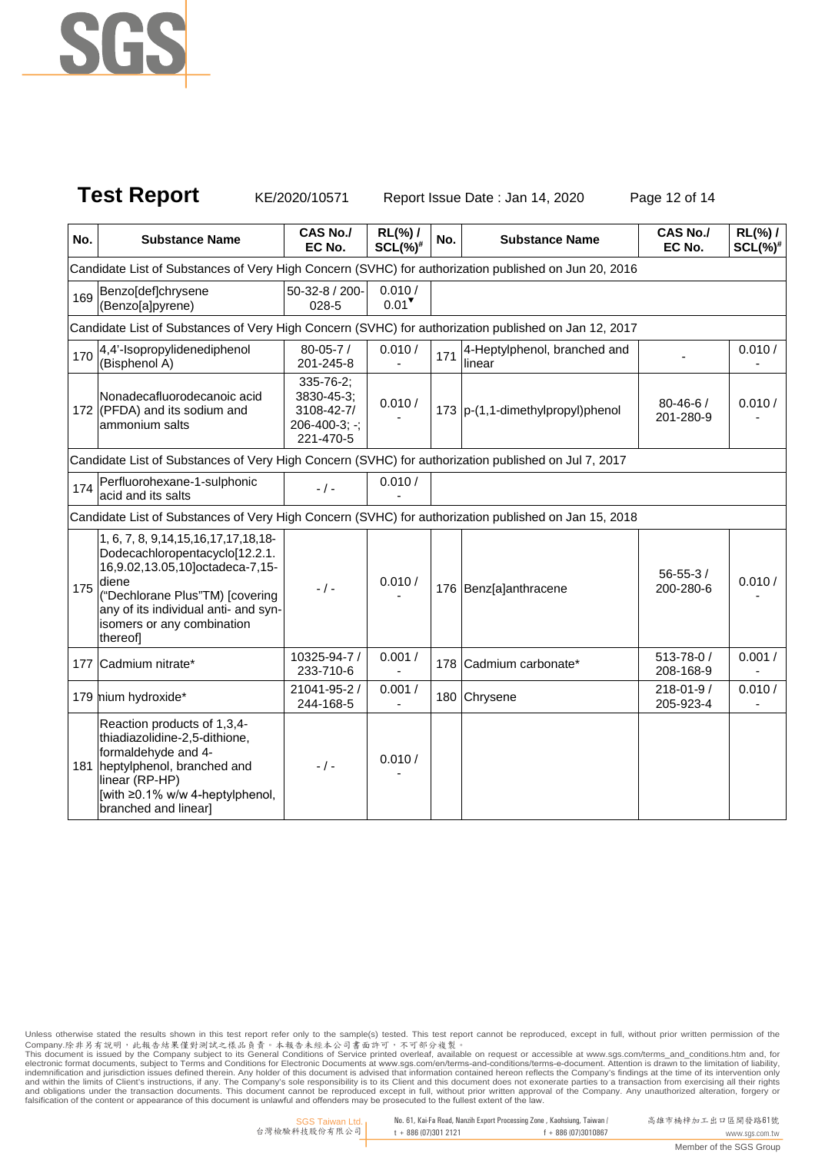

**Test Report** KE/2020/10571 Report Issue Date : Jan 14, 2020 Page 12 of 14

| No. | <b>Substance Name</b>                                                                                                                                                                                                                         | CAS No./<br>EC No.                                                               | RL(%) /<br>$SCL(\%)^{\#}$     | No. | <b>Substance Name</b>                  | <b>CAS No./</b><br>EC No.    | $RL(\%)$ /<br>$SCL(\%)^*$ |
|-----|-----------------------------------------------------------------------------------------------------------------------------------------------------------------------------------------------------------------------------------------------|----------------------------------------------------------------------------------|-------------------------------|-----|----------------------------------------|------------------------------|---------------------------|
|     | Candidate List of Substances of Very High Concern (SVHC) for authorization published on Jun 20, 2016                                                                                                                                          |                                                                                  |                               |     |                                        |                              |                           |
| 169 | Benzo[def]chrysene<br>(Benzo[a]pyrene)                                                                                                                                                                                                        | 50-32-8 / 200-<br>028-5                                                          | 0.010/<br>$0.01$ <sup>V</sup> |     |                                        |                              |                           |
|     | Candidate List of Substances of Very High Concern (SVHC) for authorization published on Jan 12, 2017                                                                                                                                          |                                                                                  |                               |     |                                        |                              |                           |
| 170 | 4,4'-Isopropylidenediphenol<br>(Bisphenol A)                                                                                                                                                                                                  | $80 - 05 - 7/$<br>201-245-8                                                      | 0.010 /                       | 171 | 4-Heptylphenol, branched and<br>linear |                              | 0.010 /                   |
|     | Nonadecafluorodecanoic acid<br>172 (PFDA) and its sodium and<br>ammonium salts                                                                                                                                                                | $335 - 76 - 2$ ;<br>3830-45-3;<br>3108-42-7/<br>$206 - 400 - 3; -;$<br>221-470-5 | 0.010 /                       |     | 173 p-(1,1-dimethylpropyl)phenol       | $80 - 46 - 6$<br>201-280-9   | 0.010/                    |
|     | Candidate List of Substances of Very High Concern (SVHC) for authorization published on Jul 7, 2017                                                                                                                                           |                                                                                  |                               |     |                                        |                              |                           |
| 174 | Perfluorohexane-1-sulphonic<br>acid and its salts                                                                                                                                                                                             | $-$ / $-$                                                                        | 0.010 /                       |     |                                        |                              |                           |
|     | Candidate List of Substances of Very High Concern (SVHC) for authorization published on Jan 15, 2018                                                                                                                                          |                                                                                  |                               |     |                                        |                              |                           |
| 175 | 1, 6, 7, 8, 9, 14, 15, 16, 17, 17, 18, 18-<br>Dodecachloropentacyclo[12.2.1.<br>16,9.02,13.05,10]octadeca-7,15-<br>diene<br>("Dechlorane Plus"TM) [covering<br>any of its individual anti- and syn-<br>isomers or any combination<br>thereofl | $- / -$                                                                          | 0.010/                        |     | 176 Benz[a]anthracene                  | $56 - 55 - 3/$<br>200-280-6  | 0.010 /                   |
|     | 177 Cadmium nitrate*                                                                                                                                                                                                                          | 10325-94-7 /<br>233-710-6                                                        | 0.001/                        |     | 178 Cadmium carbonate*                 | $513 - 78 - 0/$<br>208-168-9 | 0.001/                    |
|     | 179 mium hydroxide*                                                                                                                                                                                                                           | 21041-95-2 /<br>244-168-5                                                        | 0.001/                        |     | 180 Chrysene                           | 218-01-9 /<br>205-923-4      | 0.010/                    |
|     | Reaction products of 1,3,4-<br>thiadiazolidine-2,5-dithione,<br>formaldehyde and 4-<br>181 heptylphenol, branched and<br>linear (RP-HP)<br>[with ≥0.1% w/w 4-heptylphenol,<br>branched and linear]                                            | $-$ / $-$                                                                        | 0.010 /                       |     |                                        |                              |                           |

Unless otherwise stated the results shown in this test report refer only to the sample(s) tested. This test report cannot be reproduced, except in full, without prior written permission of the<br>Company.除非另有說明,此報告結果僅對測試之樣品貢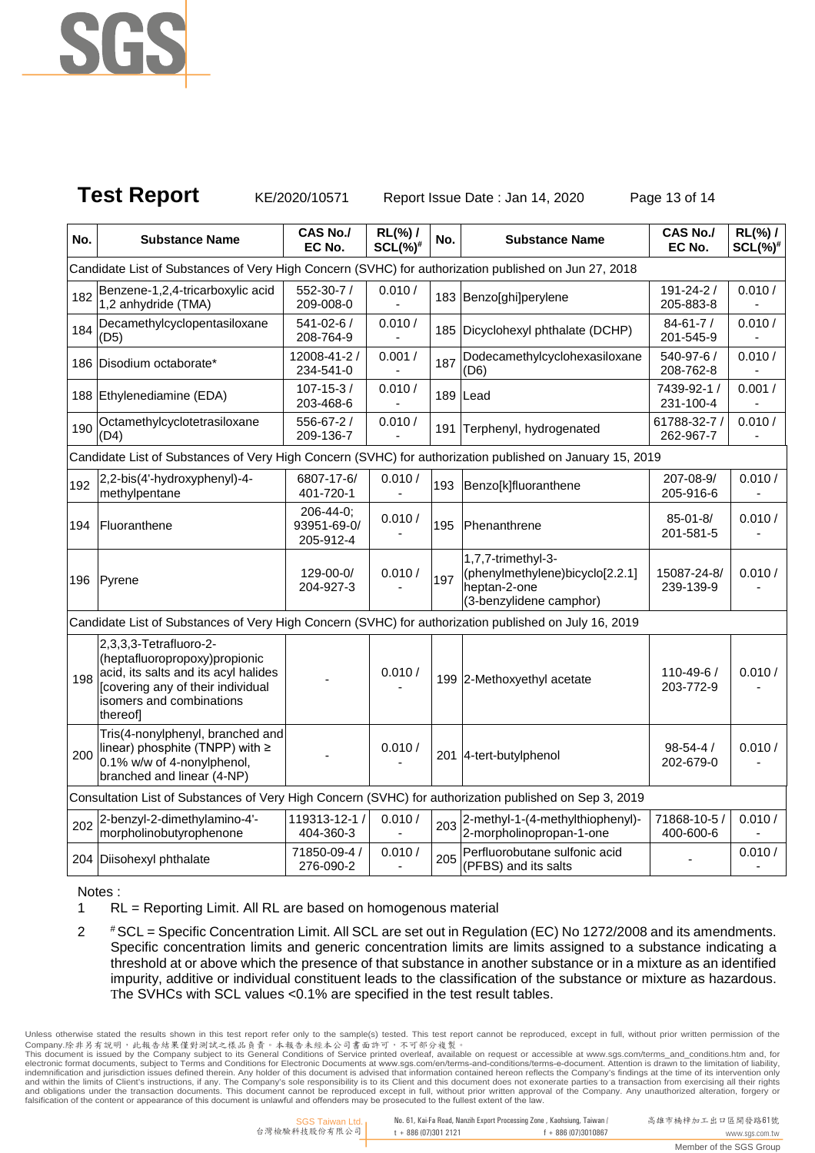

**Test Report** KE/2020/10571 Report Issue Date : Jan 14, 2020 Page 13 of 14

| No. | <b>Substance Name</b>                                                                                                                                                        | <b>CAS No./</b><br>EC No.             | $RL(\%)$ /<br>$SCL(\%)^*$ | No. | <b>Substance Name</b>                                                                            | <b>CAS No./</b><br>EC No.    | $RL(\%)$ /<br>$SCL(%)$ # |
|-----|------------------------------------------------------------------------------------------------------------------------------------------------------------------------------|---------------------------------------|---------------------------|-----|--------------------------------------------------------------------------------------------------|------------------------------|--------------------------|
|     | Candidate List of Substances of Very High Concern (SVHC) for authorization published on Jun 27, 2018                                                                         |                                       |                           |     |                                                                                                  |                              |                          |
| 182 | Benzene-1,2,4-tricarboxylic acid<br>1,2 anhydride (TMA)                                                                                                                      | 552-30-7 /<br>209-008-0               | 0.010 /                   |     | 183 Benzo[ghi]perylene                                                                           | 191-24-2 /<br>205-883-8      | 0.010/                   |
| 184 | Decamethylcyclopentasiloxane<br>(D5)                                                                                                                                         | 541-02-6 /<br>208-764-9               | 0.010 /                   |     | 185 Dicyclohexyl phthalate (DCHP)                                                                | $84 - 61 - 7/$<br>201-545-9  | 0.010 /                  |
|     | 186 Disodium octaborate*                                                                                                                                                     | 12008-41-2 /<br>234-541-0             | 0.001/                    | 187 | Dodecamethylcyclohexasiloxane<br>(D6)                                                            | 540-97-6 /<br>208-762-8      | 0.010/                   |
|     | 188 Ethylenediamine (EDA)                                                                                                                                                    | $107 - 15 - 3/$<br>203-468-6          | 0.010 /                   |     | 189 Lead                                                                                         | 7439-92-1 /<br>231-100-4     | 0.001/                   |
| 190 | Octamethylcyclotetrasiloxane<br>(D4)                                                                                                                                         | 556-67-2 /<br>209-136-7               | 0.010 /                   | 191 | Terphenyl, hydrogenated                                                                          | 61788-32-7 /<br>262-967-7    | 0.010/                   |
|     | Candidate List of Substances of Very High Concern (SVHC) for authorization published on January 15, 2019                                                                     |                                       |                           |     |                                                                                                  |                              |                          |
| 192 | 2,2-bis(4'-hydroxyphenyl)-4-<br>methylpentane                                                                                                                                | 6807-17-6/<br>401-720-1               | 0.010 /                   | 193 | Benzo[k]fluoranthene                                                                             | 207-08-9/<br>205-916-6       | 0.010 /                  |
| 194 | Fluoranthene                                                                                                                                                                 | 206-44-0;<br>93951-69-0/<br>205-912-4 | 0.010 /                   | 195 | <b>Phenanthrene</b>                                                                              | $85 - 01 - 8/$<br>201-581-5  | 0.010/                   |
|     | 196 Pyrene                                                                                                                                                                   | 129-00-0/<br>204-927-3                | 0.010 /                   | 197 | 1,7,7-trimethyl-3-<br>(phenylmethylene)bicyclo[2.2.1]<br>heptan-2-one<br>(3-benzylidene camphor) | 15087-24-8/<br>239-139-9     | 0.010/                   |
|     | Candidate List of Substances of Very High Concern (SVHC) for authorization published on July 16, 2019                                                                        |                                       |                           |     |                                                                                                  |                              |                          |
| 198 | 2,3,3,3-Tetrafluoro-2-<br>(heptafluoropropoxy)propionic<br>acid, its salts and its acyl halides<br>[covering any of their individual<br>isomers and combinations<br>thereof] |                                       | 0.010 /                   |     | 199 2-Methoxyethyl acetate                                                                       | $110 - 49 - 6/$<br>203-772-9 | 0.010 /                  |
| 200 | Tris(4-nonylphenyl, branched and<br>linear) phosphite (TNPP) with ≥<br>0.1% w/w of 4-nonylphenol,<br>branched and linear (4-NP)                                              |                                       | 0.010/                    |     | 201 4-tert-butylphenol                                                                           | $98 - 54 - 4/$<br>202-679-0  | 0.010/                   |
|     | Consultation List of Substances of Very High Concern (SVHC) for authorization published on Sep 3, 2019                                                                       |                                       |                           |     |                                                                                                  |                              |                          |
| 202 | 2-benzyl-2-dimethylamino-4'-<br>morpholinobutyrophenone                                                                                                                      | 119313-12-1 /<br>404-360-3            | 0.010 /                   | 203 | 2-methyl-1-(4-methylthiophenyl)-<br>2-morpholinopropan-1-one                                     | 71868-10-5 /<br>400-600-6    | 0.010/                   |
|     | 204 Diisohexyl phthalate                                                                                                                                                     | 71850-09-4 /<br>276-090-2             | 0.010/                    | 205 | Perfluorobutane sulfonic acid<br>(PFBS) and its salts                                            |                              | 0.010/                   |

Notes :

1 RL = Reporting Limit. All RL are based on homogenous material

2 #SCL = Specific Concentration Limit. All SCL are set out in Regulation (EC) No 1272/2008 and its amendments. Specific concentration limits and generic concentration limits are limits assigned to a substance indicating a threshold at or above which the presence of that substance in another substance or in a mixture as an identified impurity, additive or individual constituent leads to the classification of the substance or mixture as hazardous. The SVHCs with SCL values <0.1% are specified in the test result tables.

Unless otherwise stated the results shown in this test report refer only to the sample(s) tested. This test report cannot be reproduced, except in full, without prior written permission of the<br>Company.除非另有說明,此報告結果僅對測試之樣品負 and within the limits of Client's instructions, if any. The Company's sole responsibility is to its Client and this document does not exonerate parties to a transaction from exercising all their rights<br>and obligations unde